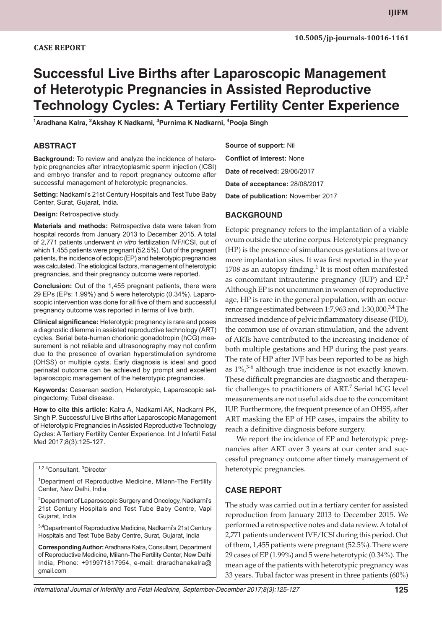# **Successful Live Births after Laparoscopic Management of Heterotypic Pregnancies in Assisted Reproductive Technology Cycles: A Tertiary Fertility Center Experience**

<sup>1</sup>Aradhana Kalra, <sup>2</sup>Akshay K Nadkarni, <sup>3</sup>Purnima K Nadkarni, <sup>4</sup>Pooja Singh

### **ABSTRACT**

**Background:** To review and analyze the incidence of heterotypic pregnancies after intracytoplasmic sperm injection (ICSI) and embryo transfer and to report pregnancy outcome after successful management of heterotypic pregnancies.

**Setting:** Nadkarni's 21st Century Hospitals and Test Tube Baby Center, Surat, Gujarat, India.

**Design:** Retrospective study.

**Materials and methods:** Retrospective data were taken from hospital records from January 2013 to December 2015. A total of 2,771 patients underwent *in vitro* fertilization IVF/ICSI, out of which 1,455 patients were pregnant (52.5%). Out of the pregnant patients, the incidence of ectopic (EP) and heterotypic pregnancies was calculated. The etiological factors, management of heterotypic pregnancies, and their pregnancy outcome were reported.

**Conclusion:** Out of the 1,455 pregnant patients, there were 29 EPs (EPs: 1.99%) and 5 were heterotypic (0.34%). Laparoscopic intervention was done for all five of them and successful pregnancy outcome was reported in terms of live birth.

**Clinical significance:** Heterotypic pregnancy is rare and poses a diagnostic dilemma in assisted reproductive technology (ART) cycles. Serial beta-human chorionic gonadotropin (hCG) measurement is not reliable and ultrasonography may not confirm due to the presence of ovarian hyperstimulation syndrome (OHSS) or multiple cysts. Early diagnosis is ideal and good perinatal outcome can be achieved by prompt and excellent laparoscopic management of the heterotypic pregnancies.

**Keywords:** Cesarean section, Heterotypic, Laparoscopic salpingectomy, Tubal disease.

**How to cite this article:** Kalra A, Nadkarni AK, Nadkarni PK, Singh P. Successful Live Births after Laparoscopic Management of Heterotypic Pregnancies in Assisted Reproductive Technology Cycles: A Tertiary Fertility Center Experience. Int J Infertil Fetal Med 2017;8(3):125-127.

<sup>1,2,4</sup>Consultant, <sup>3</sup>Director

<sup>1</sup>Department of Reproductive Medicine, Milann-The Fertility Center, New Delhi, India

<sup>2</sup>Department of Laparoscopic Surgery and Oncology, Nadkarni's 21st Century Hospitals and Test Tube Baby Centre, Vapi Gujarat, India

3,4Department of Reproductive Medicine, Nadkarni's 21st Century Hospitals and Test Tube Baby Centre, Surat, Gujarat, India

**Corresponding Author:** Aradhana Kalra, Consultant, Department of Reproductive Medicine, Milann-The Fertility Center, New Delhi India, Phone: +919971817954, e-mail: draradhanakalra@ gmail.com

**Source of support:** Nil **Conflict of interest:** None **Date of received:** 29/06/2017 **Date of acceptance:** 28/08/2017 **Date of publication:** November 2017

## **BACKGROUND**

Ectopic pregnancy refers to the implantation of a viable ovum outside the uterine corpus. Heterotypic pregnancy (HP) is the presence of simultaneous gestations at two or more implantation sites. It was first reported in the year 1708 as an autopsy finding.<sup>1</sup> It is most often manifested as concomitant intrauterine pregnancy (IUP) and EP.<sup>2</sup> Although EP is not uncommon in women of reproductive age, HP is rare in the general population, with an occurrence range estimated between 1:7,963 and 1:30,000.<sup>3,4</sup> The increased incidence of pelvic inflammatory disease (PID), the common use of ovarian stimulation, and the advent of ARTs have contributed to the increasing incidence of both multiple gestations and HP during the past years. The rate of HP after IVF has been reported to be as high as  $1\%$ ,<sup>3-6</sup> although true incidence is not exactly known. These difficult pregnancies are diagnostic and therapeutic challenges to practitioners of ART.<sup>7</sup> Serial hCG level measurements are not useful aids due to the concomitant IUP. Furthermore, the frequent presence of an OHSS, after ART masking the EP of HP cases, impairs the ability to reach a definitive diagnosis before surgery.

We report the incidence of EP and heterotypic pregnancies after ART over 3 years at our center and successful pregnancy outcome after timely management of heterotypic pregnancies.

## **CASE report**

The study was carried out in a tertiary center for assisted reproduction from January 2013 to December 2015. We performed a retrospective notes and data review. A total of 2,771 patients underwent IVF/ICSI during this period. Out of them, 1,455 patients were pregnant (52.5%). There were 29 cases of EP (1.99%) and 5 were heterotypic (0.34%). The mean age of the patients with heterotypic pregnancy was 33 years. Tubal factor was present in three patients (60%)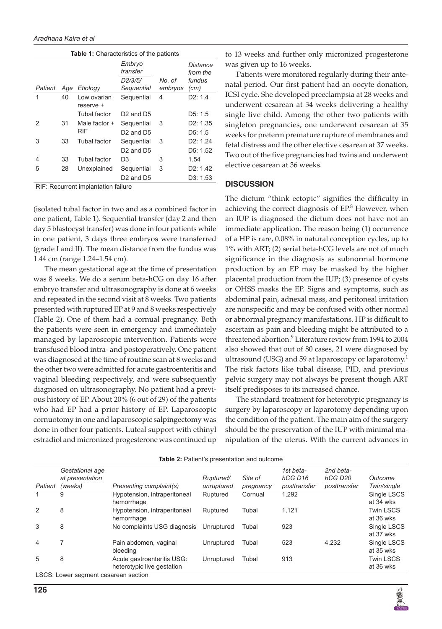| <b>Table 1:</b> Characteristics of the patients |     |                          |                                   |         |                      |  |  |  |  |  |
|-------------------------------------------------|-----|--------------------------|-----------------------------------|---------|----------------------|--|--|--|--|--|
|                                                 |     |                          | Embryo<br>transfer                |         | Distance<br>from the |  |  |  |  |  |
|                                                 |     |                          | D <sub>2</sub> /3/5/              | No. of  | fundus               |  |  |  |  |  |
| Patient                                         | Age | Etiology                 | Sequential                        | embryos | (cm)                 |  |  |  |  |  |
| 1                                               | 40  | Low ovarian<br>reserve + | Sequential                        | 4       | D2: 1.4              |  |  |  |  |  |
|                                                 |     | Tubal factor             | $D2$ and $D5$                     |         | D5: 1.5              |  |  |  |  |  |
| 2                                               | 31  | Male factor +<br>RIF     | Sequential                        | 3       | D2: 1.35             |  |  |  |  |  |
|                                                 |     |                          | D <sub>2</sub> and D <sub>5</sub> |         | D5: 1.5              |  |  |  |  |  |
| 3                                               | 33  | Tubal factor             | Sequential                        | 3       | D2: 1.24             |  |  |  |  |  |
|                                                 |     |                          | D2 and D5                         |         | D5: 1.52             |  |  |  |  |  |
| 4                                               | 33  | Tubal factor             | D3                                | 3       | 1.54                 |  |  |  |  |  |
| 5                                               | 28  | Unexplained              | Sequential                        | 3       | D2: 1.42             |  |  |  |  |  |
|                                                 |     |                          | D <sub>2</sub> and D <sub>5</sub> |         | D3: 1.53             |  |  |  |  |  |

RIF: Recurrent implantation failure

(isolated tubal factor in two and as a combined factor in one patient, Table 1). Sequential transfer (day 2 and then day 5 blastocyst transfer) was done in four patients while in one patient, 3 days three embryos were transferred (grade I and II). The mean distance from the fundus was 1.44 cm (range 1.24–1.54 cm).

The mean gestational age at the time of presentation was 8 weeks. We do a serum beta-hCG on day 16 after embryo transfer and ultrasonography is done at 6 weeks and repeated in the second visit at 8 weeks. Two patients presented with ruptured EP at 9 and 8 weeks respectively (Table 2). One of them had a cornual pregnancy. Both the patients were seen in emergency and immediately managed by laparoscopic intervention. Patients were transfused blood intra- and postoperatively. One patient was diagnosed at the time of routine scan at 8 weeks and the other two were admitted for acute gastroenteritis and vaginal bleeding respectively, and were subsequently diagnosed on ultrasonography. No patient had a previous history of EP. About 20% (6 out of 29) of the patients who had EP had a prior history of EP. Laparoscopic cornuotomy in one and laparoscopic salpingectomy was done in other four patients. Luteal support with ethinyl estradiol and micronized progesterone was continued up

to 13 weeks and further only micronized progesterone was given up to 16 weeks.

Patients were monitored regularly during their antenatal period. Our first patient had an oocyte donation, ICSI cycle. She developed preeclampsia at 28 weeks and underwent cesarean at 34 weeks delivering a healthy single live child. Among the other two patients with singleton pregnancies, one underwent cesarean at 35 weeks for preterm premature rupture of membranes and fetal distress and the other elective cesarean at 37 weeks. Two out of the five pregnancies had twins and underwent elective cesarean at 36 weeks.

#### **DISCUSSION**

The dictum "think ectopic" signifies the difficulty in achieving the correct diagnosis of  $EP<sup>8</sup>$  However, when an IUP is diagnosed the dictum does not have not an immediate application. The reason being (1) occurrence of a HP is rare, 0.08% in natural conception cycles, up to 1% with ART; (2) serial beta-hCG levels are not of much significance in the diagnosis as subnormal hormone production by an EP may be masked by the higher placental production from the IUP; (3) presence of cysts or OHSS masks the EP. Signs and symptoms, such as abdominal pain, adnexal mass, and peritoneal irritation are nonspecific and may be confused with other normal or abnormal pregnancy manifestations. HP is difficult to ascertain as pain and bleeding might be attributed to a threatened abortion.<sup>9</sup> Literature review from 1994 to 2004 also showed that out of 80 cases, 21 were diagnosed by ultrasound (USG) and 59 at laparoscopy or laparotomy.<sup>1</sup> The risk factors like tubal disease, PID, and previous pelvic surgery may not always be present though ART itself predisposes to its increased chance.

The standard treatment for heterotypic pregnancy is surgery by laparoscopy or laparotomy depending upon the condition of the patient. The main aim of the surgery should be the preservation of the IUP with minimal manipulation of the uterus. With the current advances in

|                                      | Gestational age |                                                          |            |           | 1st beta-           | 2nd beta-           |                               |  |  |
|--------------------------------------|-----------------|----------------------------------------------------------|------------|-----------|---------------------|---------------------|-------------------------------|--|--|
|                                      | at presentation |                                                          | Ruptured/  | Site of   | hCG D <sub>16</sub> | hCG D <sub>20</sub> | Outcome                       |  |  |
| Patient                              | (weeks)         | Presenting complaint(s)                                  | unruptured | pregnancy | posttransfer        | posttransfer        | Twin/single                   |  |  |
|                                      | 9               | Hypotension, intraperitoneal<br>hemorrhage               | Ruptured   | Cornual   | 1.292               |                     | Single LSCS<br>at 34 wks      |  |  |
|                                      | 8               | Hypotension, intraperitoneal<br>hemorrhage               | Ruptured   | Tubal     | 1,121               |                     | <b>Twin LSCS</b><br>at 36 wks |  |  |
| 3                                    | 8               | No complaints USG diagnosis                              | Unruptured | Tubal     | 923                 |                     | Single LSCS<br>at 37 wks      |  |  |
| $\overline{4}$                       |                 | Pain abdomen, vaginal<br>bleeding                        | Unruptured | Tubal     | 523                 | 4.232               | Single LSCS<br>at 35 wks      |  |  |
| 5                                    | 8               | Acute gastroenteritis USG:<br>heterotypic live gestation | Unruptured | Tubal     | 913                 |                     | <b>Twin LSCS</b><br>at 36 wks |  |  |
| LSCS: Lower segment cesarean section |                 |                                                          |            |           |                     |                     |                               |  |  |

**Table 2:** Patient's presentation and outcome